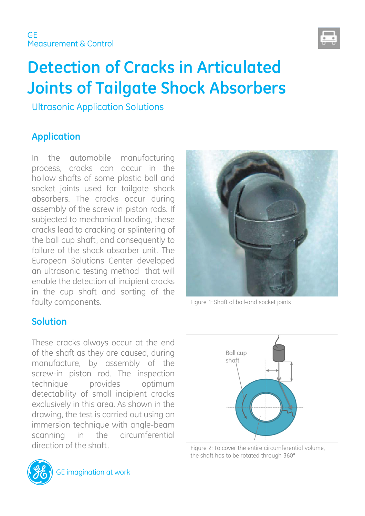

# **Detection of Cracks in Articulated Joints of Tailgate Shock Absorbers**

Ultrasonic Application Solutions

# **Application**

In the automobile manufacturing process, cracks can occur in the hollow shafts of some plastic ball and socket joints used for tailgate shock absorbers. The cracks occur during assembly of the screw in piston rods. If subjected to mechanical loading, these cracks lead to cracking or splintering of the ball cup shaft, and consequently to failure of the shock absorber unit. The European Solutions Center developed an ultrasonic testing method that will enable the detection of incipient cracks in the cup shaft and sorting of the faulty components.

## **Solution**

These cracks always occur at the end of the shaft as they are caused, during manufacture, by assembly of the screw-in piston rod. The inspection technique provides optimum detectability of small incipient cracks exclusively in this area. As shown in the drawing, the test is carried out using an immersion technique with angle-beam scanning in the circumferential direction of the shaft.



Figure 1: Shaft of ball-and socket joints



Figure 2: To cover the entire circumferential volume, the shaft has to be rotated through 360°